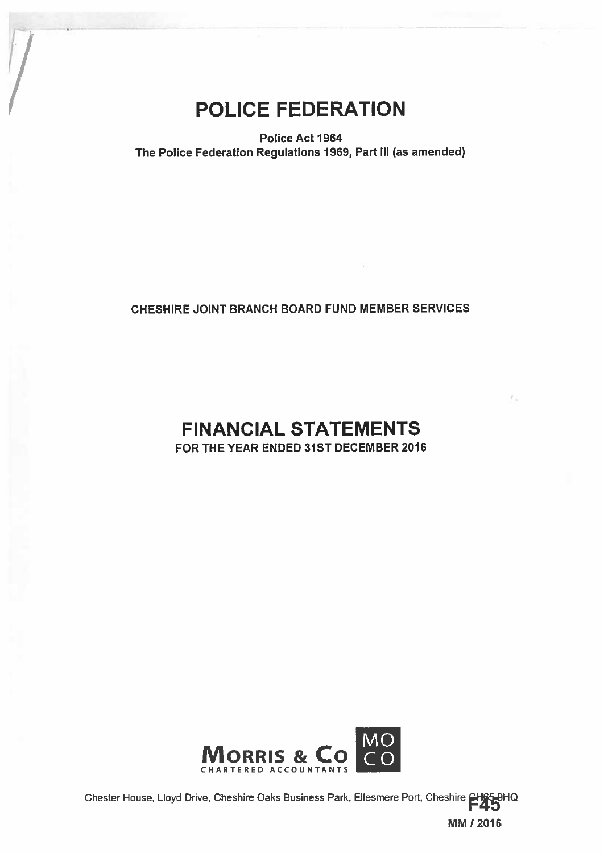# POLICE FEDERATION

Police Act 1964 The Police Federation Regulations 1969, Part III (as amended)

# CHESHIRE JOINT BRANCH BOARD FUND MEMBER SERVICES

# FINANCIAL STATEMENTS FOR THE YEAR ENDED 31ST DECEMBER 2016



Chester House, Lloyd Drive, Cheshire Oaks Business Park, Ellesmere Port, Cheshire 2H65-0HQ MMI 2016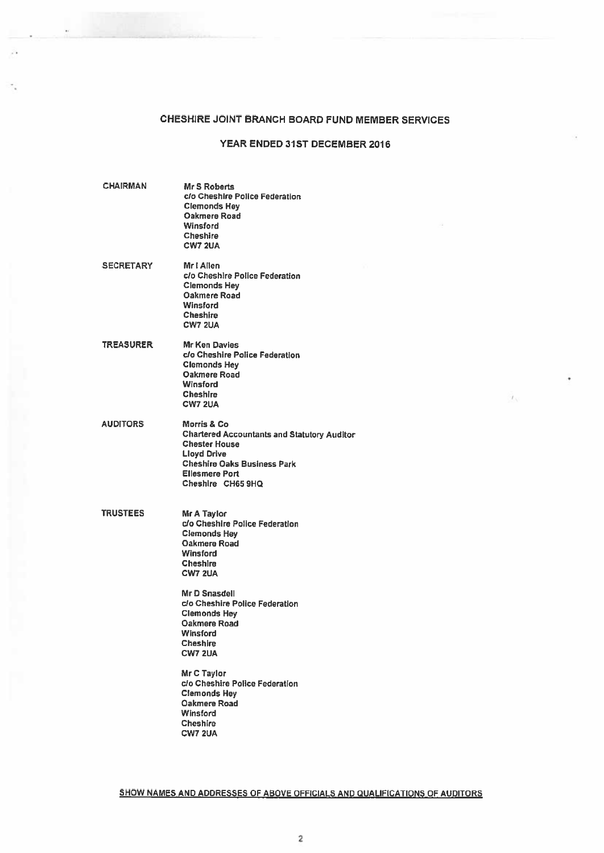# CHESHIRE JOINT BRANCH BOARD FUND MEMBER SERVICES

 $\mathcal{L}$ 

# YEAR ENDED 31ST DECEMBER 2016

 $T_{\rm X}$ 

| <b>CHAIRMAN</b>  | Mr S Roberts<br>c/o Cheshire Police Federation<br><b>Clemonds Hey</b><br>Oakmere Road<br>Winsford<br><b>Cheshire</b><br><b>CW7 2UA</b>                                                                                          |  |
|------------------|---------------------------------------------------------------------------------------------------------------------------------------------------------------------------------------------------------------------------------|--|
| <b>SECRETARY</b> | Mr I Allen<br>c/o Cheshire Police Federation<br><b>Clemonds Hey</b><br>Oakmere Road<br>Winsford<br><b>Cheshire</b><br><b>CW7 2UA</b>                                                                                            |  |
| <b>TREASURER</b> | Mr Ken Davies<br>c/o Cheshire Police Federation<br><b>Clemonds Hey</b><br>Oakmere Road<br>Winsford<br><b>Cheshire</b><br><b>CW7 2UA</b>                                                                                         |  |
| AUDITORS         | Morris & Co.<br><b>Chartered Accountants and Statutory Auditor</b><br><b>Chester House</b><br><b>Lloyd Drive</b><br><b>Cheshire Oaks Business Park</b><br><b>Ellesmere Port</b><br>Cheshire CH65 9HQ                            |  |
| <b>TRUSTEES</b>  | Mr A Taylor<br>c/o Cheshire Police Federation<br><b>Clemonds Hey</b><br>Oakmere Road<br><b>Winsford</b><br>Cheshire<br><b>CW7 2UA</b><br>Mr D Snasdell<br>c/o Cheshire Police Federation<br><b>Clemonds Hey</b><br>Oakmere Road |  |
|                  | Winsford<br><b>Cheshire</b><br><b>CW7 2UA</b><br>Mr C Taylor<br>c/o Cheshire Police Federation<br><b>Clemonds Hey</b><br><b>Oakmere Road</b>                                                                                    |  |
|                  | Winsford<br><b>Cheshire</b><br><b>CW7 2UA</b>                                                                                                                                                                                   |  |

SHOW NAMES AND ADDRESSES OF ABOVE OFFICIALS AND QUALIFICATIONS OF AUDITORS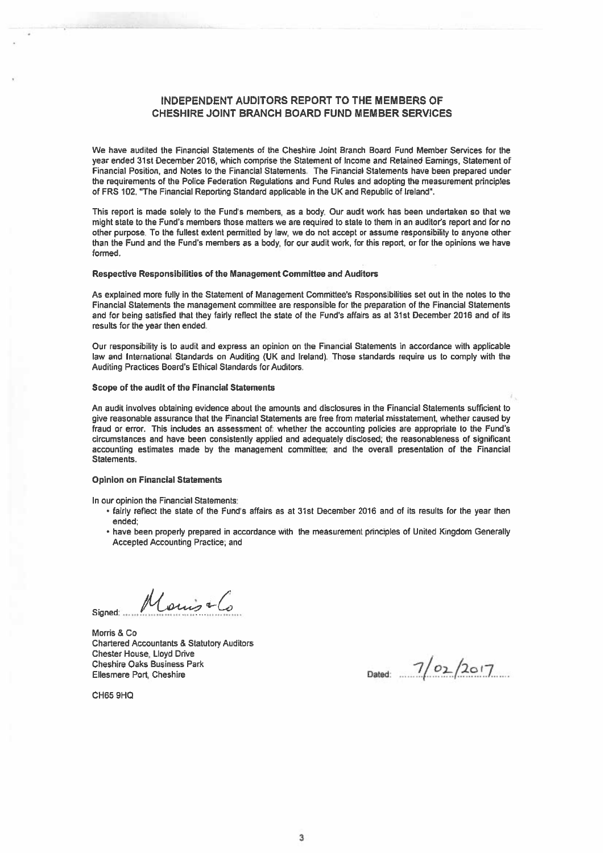# INDEPENDENT AUDITORS REPORT TO THE MEMBERS OF CHESHIRE JOINT BRANCH BOARD FUND MEMBER SERVICES

We have audited the Financial Statements of the Cheshire Joint Branch Board Fund Member Services for the year ended 31st December 2016, which comprise the Statement of Income and Retained Earnings, Statement of Financial Position, and Notes to the Financial Statements. The Financial Statements have been prepared under the requirements of the Police Federation Regulations and Fund Rules and adopting the measurement principles of FRS 102, "The Financial Reporting Standard applicable in the UK and Republic of Ireland".

This repor<sup>t</sup> is made solely to the Fund's members, as <sup>a</sup> body. Our audit work has been undertaken so that we might state to the Fund's members those matters we are required to state to them in an auditor's report and for no other purpose. To the fullest extent permitted by law, we do not accep<sup>t</sup> or assume responsibility to anyone other than the Fund and the Fund's members as <sup>a</sup> body, for our audit work, for this report, or for the opinions we have formed.

# Respective Responsibilities of the Management Committee and Auditors

As explained more fully in the Statement of Management Committee's Responsibilities set out in the notes to the Financial Statements the managemen<sup>t</sup> committee are responsible for the preparation of the Financial Statements and for being satisfied that they fairly reflect the state of the Fund's affairs as at 31st December 2016 and of its results for the year then ended.

Our responsibility is to audit and express an opinion on the Financial Statements in accordance with applicable law and International Standards on Auditing (UK and Ireland). Those standards require us to comply with the Auditing Practices Board's Ethical Standards for Auditors.

### Scope of the audit of the Financial Statements

An audit involves obtaining evidence about the amounts and disclosures in the Financial Statements sufficient to give reasonable assurance that the Financial Statements are free from material misstatement, whether caused by fraud or error. This includes an assessment of: whether the accounting policies are appropriate to the Fund's circumstances and have been consistently applied and adequately disclosed; the reasonableness of significant accounting estimates made by the managemen<sup>t</sup> committee; and the overall presentation of the Financial Statements.

#### Opinion on Financial Statements

In our opinion the Financial Statements:

- fairly reflect the state of the Fund's affairs as at 31st December 2016 and of its results for the year then ended;
- have been properly prepared in accordance with the measurement principles of United Kingdom Generally Accepted Accounting Practice; and

Marine Signed: ...

Morris & Co Chartered Accountants & Statutory Auditors Chester House, Lloyd Drive . Cheshire Oaks Business Park  $\frac{7}{201}$ <br>Ellesmere Port, Cheshire Dated:  $\frac{7}{201}$ 

CH65 9HQ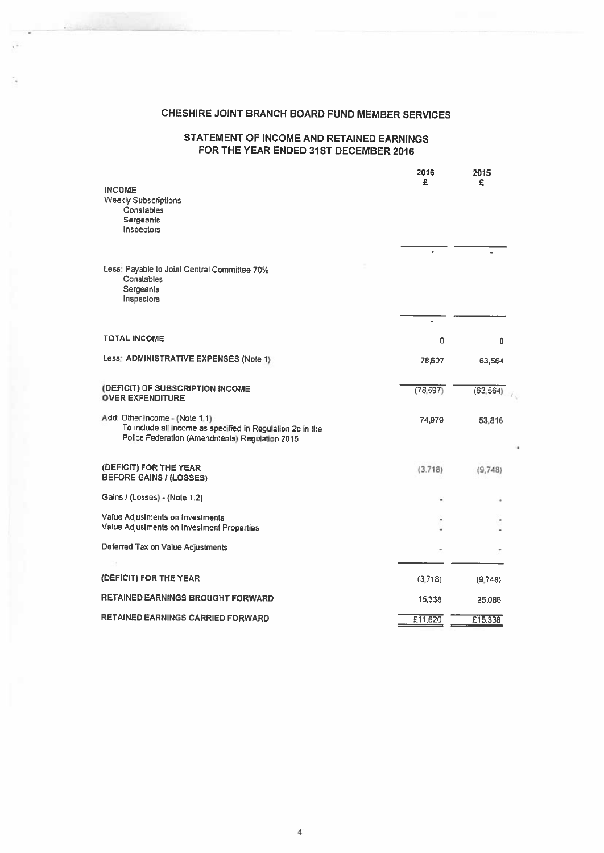# CHESHIRE JOINT BRANCH BOARD FUND MEMBER SERVICES

# STATEMENT OF INCOME AND RETAINED EARNINGS FOR THE YEAR ENDED 31ST DECEMBER 2016

|                                                                                                                                                | 2016<br>£ | 2015<br>£ |
|------------------------------------------------------------------------------------------------------------------------------------------------|-----------|-----------|
| <b>INCOME</b><br><b>Weekly Subscriptions</b><br>Constables<br>Sergeants<br>Inspectors                                                          |           |           |
|                                                                                                                                                |           |           |
| Less: Payable to Joint Central Committee 70%<br>Constables<br>Sergeants<br>Inspectors                                                          |           |           |
|                                                                                                                                                |           |           |
| <b>TOTAL INCOME</b>                                                                                                                            | 0         | ٥         |
| Less: ADMINISTRATIVE EXPENSES (Note 1)                                                                                                         | 78,697    | 63,564    |
| (DEFICIT) OF SUBSCRIPTION INCOME<br><b>OVER EXPENDITURE</b>                                                                                    | (78, 697) | (63, 564) |
| Add: Other Income - (Note 1.1)<br>To include all income as specified in Regulation 2c in the<br>Police Federation (Amendments) Regulation 2015 | 74,979    | 53,816    |
| (DEFICIT) FOR THE YEAR<br>BEFORE GAINS / (LOSSES)                                                                                              | (3.718)   | (9,748)   |
| Gains / (Losses) - (Note 1.2)                                                                                                                  |           |           |
| Value Adjustments on Investments<br>Value Adjustments on Investment Properties                                                                 |           |           |
| Deferred Tax on Value Adjustments                                                                                                              |           |           |
| (DEFICIT) FOR THE YEAR                                                                                                                         | (3,718)   | (9,748)   |
| RETAINED EARNINGS BROUGHT FORWARD                                                                                                              | 15,338    | 25,086    |
| RETAINED EARNINGS CARRIED FORWARD                                                                                                              | E11,620   | £15,338   |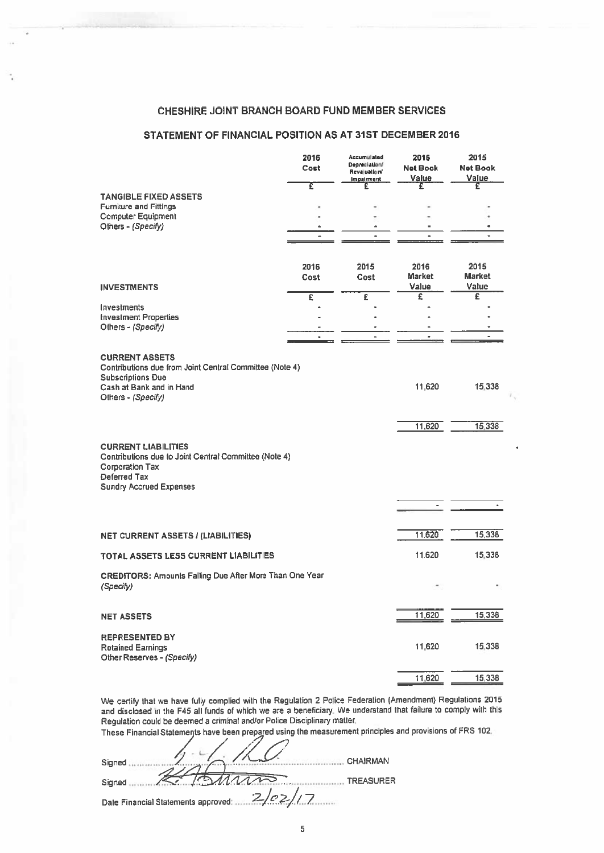# CHESHIRE JOINT BRANCH BOARD FUND MEMBER SERVICES

# STATEMENT OF FINANCIAL POSITION AS AT 31ST DECEMBER 2016

| <b>CHESHIRE JOINT BRANCH BOARD FUND MEMBER SERVICES</b>                             |                       |                                              |                         |                         |
|-------------------------------------------------------------------------------------|-----------------------|----------------------------------------------|-------------------------|-------------------------|
| STATEMENT OF FINANCIAL POSITION AS AT 31ST DECEMBER 2016                            |                       |                                              |                         |                         |
|                                                                                     |                       |                                              |                         |                         |
|                                                                                     | 2016<br>Cost          | Accumulated<br>Depreciation/<br>Revaluation/ | 2016<br><b>Net Book</b> | 2015<br><b>Net Book</b> |
|                                                                                     | τ                     | Impairment<br>£                              | Value<br>£              | Value<br>£              |
| <b>TANGIBLE FIXED ASSETS</b><br><b>Furniture and Fittings</b>                       |                       |                                              |                         |                         |
| <b>Computer Equipment</b>                                                           |                       |                                              |                         |                         |
| Others - (Specify)                                                                  |                       | ٠                                            | $\blacksquare$          |                         |
|                                                                                     |                       |                                              |                         |                         |
|                                                                                     | 2016                  | 2015                                         | 2016                    | 2015                    |
| <b>INVESTMENTS</b>                                                                  | Cost                  | Cost                                         | <b>Market</b><br>Value  | <b>Market</b><br>Value  |
| Investments                                                                         | $\overline{\epsilon}$ | £                                            | Ξ                       | £                       |
| <b>Investment Properties</b>                                                        |                       |                                              |                         |                         |
| Others - (Specify)                                                                  | $\bullet$             | $\blacksquare$                               | ٠                       |                         |
| <b>CURRENT ASSETS</b>                                                               |                       |                                              |                         |                         |
| Contributions due from Joint Central Committee (Note 4)                             |                       |                                              |                         |                         |
| <b>Subscriptions Due</b><br>Cash at Bank and in Hand                                |                       |                                              | 11,620                  | 15,338                  |
| Others - (Specify)                                                                  |                       |                                              |                         |                         |
|                                                                                     |                       |                                              | 11,620                  | 15,338                  |
|                                                                                     |                       |                                              |                         |                         |
| <b>CURRENT LIABILITIES</b><br>Contributions due to Joint Central Committee (Note 4) |                       |                                              |                         |                         |
| <b>Corporation Tax</b><br>Deferred Tax                                              |                       |                                              |                         |                         |
| <b>Sundry Accrued Expenses</b>                                                      |                       |                                              |                         |                         |
|                                                                                     |                       |                                              |                         |                         |
|                                                                                     |                       |                                              |                         |                         |
| <b>NET CURRENT ASSETS / (LIABILITIES)</b>                                           |                       |                                              | 11,620                  | 15,338                  |
| <b>TOTAL ASSETS LESS CURRENT LIABILITIES</b>                                        |                       |                                              | 11,620                  | 15,338                  |
| <b>CREDITORS: Amounts Falling Due After More Than One Year</b>                      |                       |                                              |                         |                         |
| (Specify)                                                                           |                       |                                              |                         |                         |
| <b>NET ASSETS</b>                                                                   |                       |                                              | 11,620                  | 15,338                  |
|                                                                                     |                       |                                              |                         |                         |
| <b>REPRESENTED BY</b><br><b>Retained Earnings</b>                                   |                       |                                              | 11,620                  | 15,338                  |
| Other Reserves - (Specify)                                                          |                       |                                              |                         |                         |
|                                                                                     |                       |                                              | 11,620                  | 15,338                  |

We certify that we have fully complied with the Regulation 2 Police Federation (Amendment) Regulations 2015 and disclosed in the F45 all funds of which we are <sup>a</sup> beneficiary. We understand that failure to comply with this Regulation could be deemed <sup>a</sup> criminal andlor Police Disciplinary matter.

These Financial Statements have been prepared using the measurement principles and provisions of FRS 102.

| Signed                                        | <b>CHAIRMAN</b>  |
|-----------------------------------------------|------------------|
| Signed                                        | <b>TREASURER</b> |
| 2/02/1<br>Date Financial Statements approved: |                  |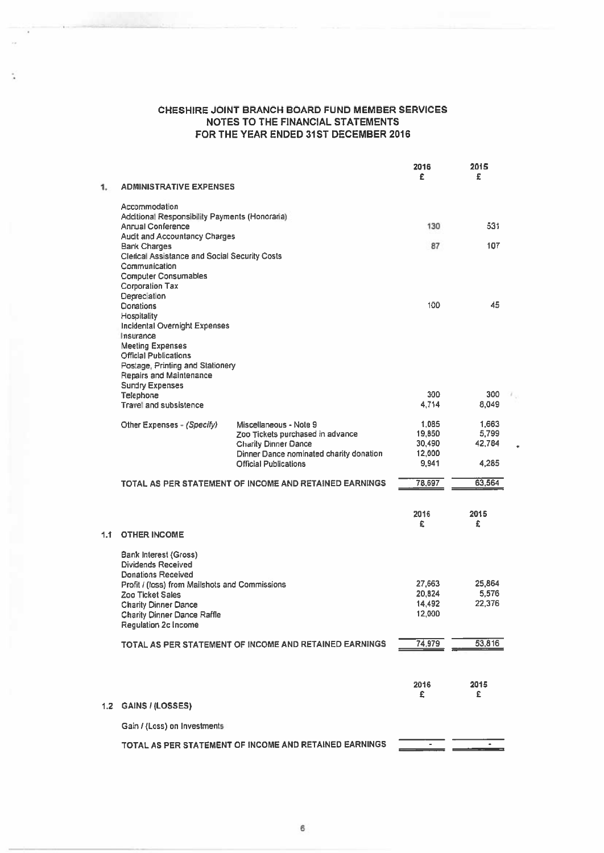÷,

|     |                                                                       |                                                                         | 2016<br>£        | 2015<br>£       |  |
|-----|-----------------------------------------------------------------------|-------------------------------------------------------------------------|------------------|-----------------|--|
| 1.  | <b>ADMINISTRATIVE EXPENSES</b>                                        |                                                                         |                  |                 |  |
|     | Accommodation<br>Additional Responsibility Payments (Honoraria)       |                                                                         |                  |                 |  |
|     | <b>Annual Conference</b>                                              |                                                                         | 130              | 531             |  |
|     | <b>Audit and Accountancy Charges</b><br><b>Bank Charges</b>           |                                                                         | 87               | 107             |  |
|     | <b>Clerical Assistance and Social Security Costs</b><br>Communication |                                                                         |                  |                 |  |
|     | <b>Computer Consumables</b><br><b>Corporation Tax</b><br>Depreciation |                                                                         |                  |                 |  |
|     | Donations                                                             |                                                                         | 100              | 45              |  |
|     | Hospitality<br>Incidental Overnight Expenses                          |                                                                         |                  |                 |  |
|     | Insurance                                                             |                                                                         |                  |                 |  |
|     | <b>Meeting Expenses</b><br><b>Official Publications</b>               |                                                                         |                  |                 |  |
|     | Postage, Printing and Stationery                                      |                                                                         |                  |                 |  |
|     | Repairs and Maintenance<br><b>Sundry Expenses</b>                     |                                                                         |                  |                 |  |
|     | Telephone                                                             |                                                                         | 300              | 300             |  |
|     | <b>Travel and subsistence</b>                                         |                                                                         | 4,714            | 8,049           |  |
|     | Other Expenses - (Specify)                                            | Miscellaneous - Note 9                                                  | 1,085<br>19,850  | 1,663<br>5,799  |  |
|     |                                                                       | Zoo Tickets purchased in advance<br><b>Charity Dinner Dance</b>         | 30,490           | 42,784          |  |
|     |                                                                       | Dinner Dance nominated charity donation<br><b>Official Publications</b> | 12,000<br>9,941  | 4,285           |  |
|     |                                                                       |                                                                         |                  |                 |  |
|     |                                                                       | TOTAL AS PER STATEMENT OF INCOME AND RETAINED EARNINGS                  | 78,697           | 63,564          |  |
|     |                                                                       |                                                                         | 2016             | 2015            |  |
|     |                                                                       |                                                                         | £                | £               |  |
| 1.1 | <b>OTHER INCOME</b>                                                   |                                                                         |                  |                 |  |
|     | Bank Interest (Gross)<br><b>Dividends Received</b>                    |                                                                         |                  |                 |  |
|     | <b>Donations Received</b>                                             |                                                                         |                  |                 |  |
|     | Profit / (loss) from Mailshots and Commissions<br>Zoo Ticket Sales    |                                                                         | 27,663<br>20,824 | 25,864<br>5,576 |  |
|     | <b>Charity Dinner Dance</b>                                           |                                                                         | 14,492           | 22,376          |  |
|     | <b>Charity Dinner Dance Raffle</b>                                    |                                                                         | 12,000           |                 |  |
|     | <b>Regulation 2c Income</b>                                           |                                                                         |                  |                 |  |
|     |                                                                       | TOTAL AS PER STATEMENT OF INCOME AND RETAINED EARNINGS                  | 74,979           | 53,816          |  |
|     |                                                                       |                                                                         |                  |                 |  |
|     |                                                                       |                                                                         | 2016<br>£        | 2015<br>£       |  |
| 1.2 | GAINS / (LOSSES)                                                      |                                                                         |                  |                 |  |
|     | Gain / (Loss) on Investments                                          |                                                                         |                  |                 |  |
|     |                                                                       | TOTAL AS PER STATEMENT OF INCOME AND RETAINED EARNINGS                  |                  |                 |  |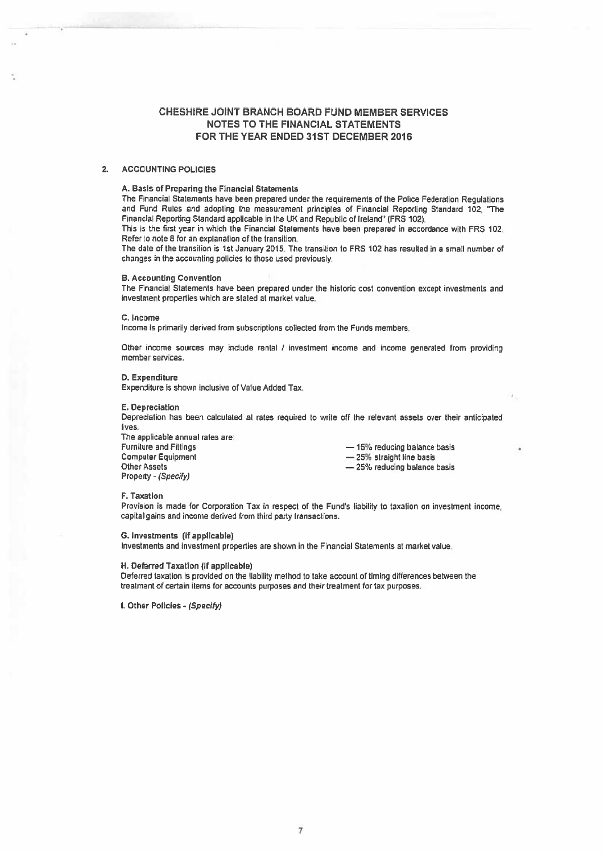## 2. ACCOUNTING POLICIES

#### A. Basis of Preparing the Financial Statements

The Financial Statements have been prepared under the requirements of the Police Federation Regulations and Fund Rules and adopting the measurement principles of Financial Reporting Standard 102, 'The Financial Reporting Standard applicable in the UK and Republic of Ireland" (FRS 102).

This is the first year in which the Financial Statements have been prepared in accordance with FRS 102. Refer to note S for an explanation of the transition,

The date of the transition is 1st January 2015. The transition to FRS 102 has resulted in <sup>a</sup> small number of changes in the accounting policies to those used previousy.

#### B. Accounting Convention

The Financial Statements have been prepared under the historic cost convention excep<sup>t</sup> investments and investment properties which are stated at market value.

C. Income

Income is primarily derived from subscriptions collected from the Funds members.

Other income sources may include rental / investment income and income generated from providing member services.

D. Expenditure

Expenditure is shown inclusive of Value Added Tax.

#### E. Depreciation

Depreciation has been calculated at rates required to write off the relevant assets over their anticipated lives.

The applicable annual rates are: Furniture and Fittings **Executive Executive Act 2018** — 15% reducing balance basis Computer Equipment **Example 25%** straight line basis Other Assets Property - (Specify)

— 25% reducing balance basis

#### F. Taxation

Provision is made for Corporation Tax in respect of the Fund's liability to taxation on investment income. capital gains and income derived from third party transactions.

G. Investments (if applicable)

Investments and investment properties are shown in the Financial Statements at market value.

# H, Deferred Taxation (if applicable)

Deferred taxation is provided on the liability method to take account of timing differences between the treatment of certain items for accounts purposes and their treatment for tax purposes.

I. Other Policies - (Specify)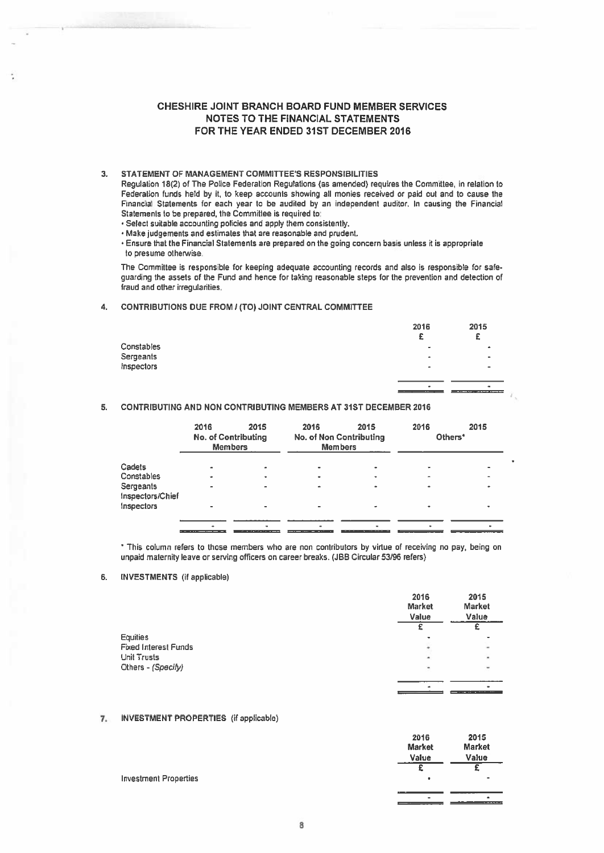## 3. STATEMENT OF MANAGEMENT COMMITTEE'S RESPONSIBILITIES

## 4. CONTRIBUTIONS DUE FROM? (TO) JOINT CENTRAL COMMITTEE

|                                       | <b>CHESHIRE JOINT BRANCH BOARD FUND MEMBER SERVICES</b>                                                                                                                                                                                                                                                                                                                                                                                                                                                                                                                                                                                                                                            |      |      | <b>NOTES TO THE FINANCIAL STATEMENTS</b><br>FOR THE YEAR ENDED 31ST DECEMBER 2016 |           |                 |
|---------------------------------------|----------------------------------------------------------------------------------------------------------------------------------------------------------------------------------------------------------------------------------------------------------------------------------------------------------------------------------------------------------------------------------------------------------------------------------------------------------------------------------------------------------------------------------------------------------------------------------------------------------------------------------------------------------------------------------------------------|------|------|-----------------------------------------------------------------------------------|-----------|-----------------|
| to presume otherwise.                 | STATEMENT OF MANAGEMENT COMMITTEE'S RESPONSIBILITIES<br>Regulation 18(2) of The Police Federation Regulations (as amended) requires the Committee, in relation to<br>Federation funds held by it, to keep accounts showing all monies received or paid out and to cause the<br>Financial Statements for each year to be audited by an independent auditor. In causing the Financial<br>Statements to be prepared, the Committee is required to:<br>· Select suitable accounting policies and apply them consistently.<br>. Make judgements and estimates that are reasonable and prudent.<br>Ensure that the Financial Statements are prepared on the going concern basis unless it is appropriate |      |      |                                                                                   |           |                 |
| fraud and other irregularities.       | The Committee is responsible for keeping adequate accounting records and also is responsible for safe-<br>guarding the assets of the Fund and hence for taking reasonable steps for the prevention and detection of                                                                                                                                                                                                                                                                                                                                                                                                                                                                                |      |      |                                                                                   |           |                 |
|                                       | CONTRIBUTIONS DUE FROM / (TO) JOINT CENTRAL COMMITTEE                                                                                                                                                                                                                                                                                                                                                                                                                                                                                                                                                                                                                                              |      |      |                                                                                   |           |                 |
| Constables<br>Sergeants<br>Inspectors |                                                                                                                                                                                                                                                                                                                                                                                                                                                                                                                                                                                                                                                                                                    |      |      |                                                                                   | 2016<br>£ | 2015<br>£       |
|                                       | <b>CONTRIBUTING AND NON CONTRIBUTING MEMBERS AT 31ST DECEMBER 2016</b>                                                                                                                                                                                                                                                                                                                                                                                                                                                                                                                                                                                                                             |      |      |                                                                                   |           |                 |
|                                       | 2016<br><b>No. of Contributing</b><br>Members                                                                                                                                                                                                                                                                                                                                                                                                                                                                                                                                                                                                                                                      | 2015 | 2016 | 2015<br>No. of Non Contributing<br><b>Members</b>                                 | 2016      | 2015<br>Others* |

## 5. CONTRIBUTING AND NON CONTRIBUTING MEMBERS AT 31ST DECEMBER 2016

|                               | 2016 | 2015<br><b>No. of Contributing</b><br><b>Members</b>                                                                                                                                                                                 | 2016 | 2015<br><b>No. of Non Contributing</b><br><b>Members</b> | 2016           | 2015<br>Others* |
|-------------------------------|------|--------------------------------------------------------------------------------------------------------------------------------------------------------------------------------------------------------------------------------------|------|----------------------------------------------------------|----------------|-----------------|
| Cadets                        |      | ۰                                                                                                                                                                                                                                    | ٠    |                                                          | $\blacksquare$ |                 |
| Constables                    |      | ۰                                                                                                                                                                                                                                    | ٠    |                                                          | ۰              |                 |
| Sergeants<br>Inspectors/Chief |      |                                                                                                                                                                                                                                      | ٠    |                                                          |                |                 |
| Inspectors                    |      |                                                                                                                                                                                                                                      |      |                                                          |                |                 |
|                               |      |                                                                                                                                                                                                                                      |      |                                                          |                |                 |
|                               |      | <b>The Contract Commercial Contract Contract Contract Contract Contract Contract Contract Contract Contract Contract Contract Contract Contract Contract Contract Contract Contract Contract Contract Contract Contract Contract</b> |      |                                                          |                |                 |

This column refers to those members who are non contributors by virtue of receiving no pay, being on unpaid maternity leave or serving officers on career breaks. (JBB Circular 53/96 refers)

## 6. INVESTMENTS (if applicable)

|                             | 2016<br>Market<br>Value | 2015<br>Market<br>Value |
|-----------------------------|-------------------------|-------------------------|
|                             |                         |                         |
| <b>Equities</b>             | ÷                       |                         |
| <b>Fixed Interest Funds</b> | ٠                       | u                       |
| <b>Unit Trusts</b>          | ٠                       | $\lambda$               |
| Others - (Specify)          | $\blacksquare$          | $\equiv$                |
|                             |                         |                         |
|                             | <b>A</b>                | ٠                       |

## 7. INVESTMENT PROPERTIES (if applicable)

|                              | 2016          | 2015          |
|------------------------------|---------------|---------------|
|                              | <b>Market</b> | <b>Market</b> |
|                              | Value         | Value         |
|                              |               |               |
| <b>Investment Properties</b> | ٠             | ٠             |
|                              |               |               |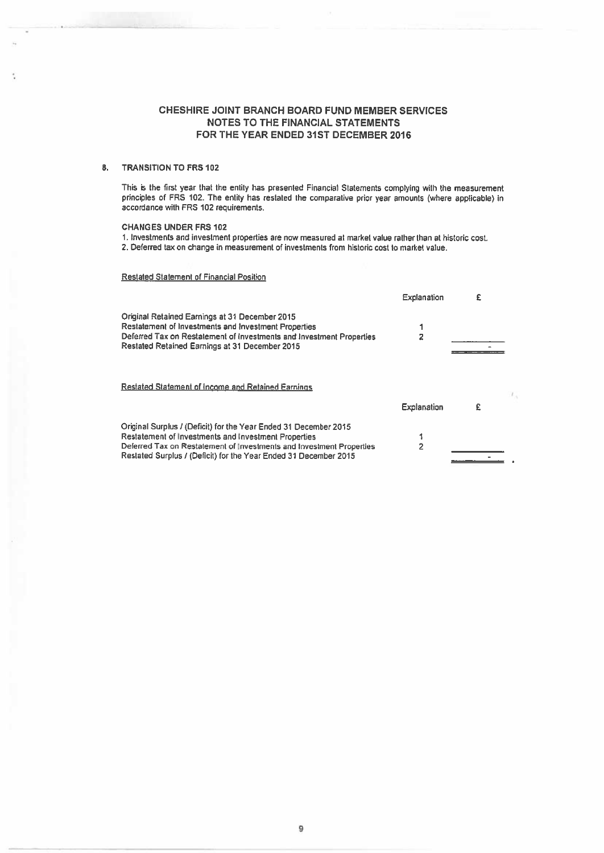## 3. TRANSITION TO FRS 102

t

This is the first year that the entity has presented Financial Statements complying with the measurement principles of FRS 102. The entity has restated the comparative pricr year amounts (where applicable) in accordance with FSS 102 requirements.

## CHANGES UNDER FRS 102

I. Investments and investment properties are now measured at market value rather than at historic cost. 2. Deferred tax on charge in measurement of investments from historic cost to market value.

## Restated Statement of Financial Position

|                                                                                                                                                                                                                                                                      | Explanation        | £ |  |
|----------------------------------------------------------------------------------------------------------------------------------------------------------------------------------------------------------------------------------------------------------------------|--------------------|---|--|
| Original Retained Earnings at 31 December 2015<br><b>Restatement of Investments and Investment Properties</b><br>Deferred Tax on Restatement of investments and Investment Properties<br><b>Restated Retained Earnings at 31 December 2015</b>                       |                    |   |  |
| <b>Restated Statement of Income and Retained Earnings</b>                                                                                                                                                                                                            |                    |   |  |
|                                                                                                                                                                                                                                                                      | <b>Explanation</b> | £ |  |
| Original Surplus / (Deficit) for the Year Ended 31 December 2015<br>Restatement of Investments and Investment Properties<br>Deferred Tax on Restatement of Investments and Investment Properties<br>Restated Surplus / (Deficit) for the Year Ended 31 December 2015 | 2                  |   |  |
|                                                                                                                                                                                                                                                                      |                    |   |  |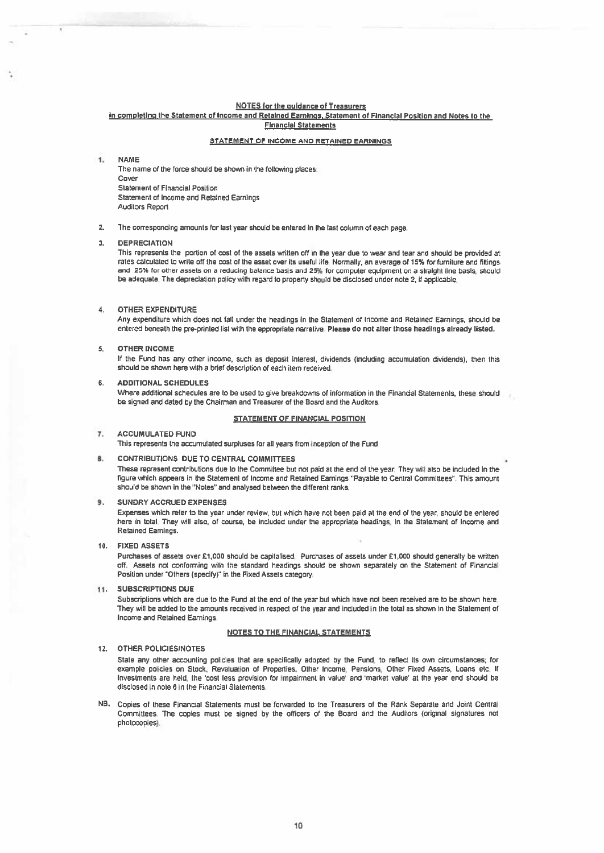## NOTES for the guidance of Treasurers

#### in completing the Statement of Income and Retained Earnings, Statement of Financial Position and Notes to the **Financial Statements**

#### STATEMENT OF INCOME AND RETAINED EARNINGS

#### ŧ. NAME

The name of the force should be shown in the following places. Cover Statement of Financial Position Statement of Income and Retained Earnings Auditors Report

2. The corresponding amounts for last year should be entered in the last column of each page.

#### 3. DEPRECIATION

This represents the portion of cost of the assets written off in the year due to wear and tear and should be provided at rates calculated to write off the cost of the asset over its useful life. Normally, an average of 15% for furniture and fittings and 25% for other assets on a reducing balance basis and 25% for computer equipment on a straight line basis, should be adequate. The depreciation policy with regard to property should be disclosed under note 2, if applicable.

#### 4. OTHER EXPENDITURE

Any expenditure which does not fall under the headings in the Statement of Income and Retained Earnings, should be entered beneath the pre-printed list with the appropriate narrative. Please do not alter those headings already listed.

#### 5. OTHER INCOME

If the Fund has any other income, such as deposit interest, dividends (including accumulation dividends), then this should be shown here with a brief description of each item received.

#### 6. ADDITIONAL SCHEDULES

Where additional schedules are to be used to <sup>g</sup>ive breakdowns of information in the Financial Statements, these should be signed and dated by the Chairman and Treasurer of the Board and the Auditors.

#### STATEMENT OF FINANCIAL POSITION

#### 7. ACCUMULATED FUND

This represents the accumulated surpluses for all years from inception of the Fund

## B. CONTRIBUTIONS DUE TO CENTRAL COMMITTEES

These represent contributions due to the Committee but not paid at the end of the year. They will also be included in the rgure which appeas in the Statement of Income and Retained Earnings "Payaole to Central Committees". This amount shoud be shown in the 'Notes" and anaysed between the different ranks.

#### 9. SUNDRY ACCRUED EXPENSES

Expenses which refer to the year under review, but which have not been paid at the end of the year, should be entered here in total. They will also, of course, be included under the appropriate headings, in the Statement of Income and Retained Earnings.

### 10. FIXEDASSETS

Purchases of assets over £1,000 should be capitalised. Purchases of assets under £1,000 should generally be written off. Assets not conforming with the standard headings should be shown separately on the Statement or Financial Position under "Others (specify)" in the Fixed Assets category

## II. SUBSCRIPTIONS DUE

Subscriptions which are due to the Fund at the end of the year but which have not been received are to be shown here They will be added to the amounts received in respec<sup>t</sup> of the year and included in the total as shown in the Statement of Income and Retained Earnings.

#### NOTES TO THE FINANCIAL STATEMENTS

#### 12. OTHER POLICIES(NOTES

State any other accounting policies that are specifically adopted by the Fund, to reflect its own circumstances: for example policies on Stock, Revaluation of Properties, Other Income, Pensions, Other Fixed Assets, Loans etc. If Investments are held, the 'cost tess provision for impairment in value' and 'market value' at the year end should be disclosed in note 6 in the Financial Statements,

NB. Copies of these Financial Statements must be forwarded to the Treasurers of the Rank Separate and Joint Central Committees. The copies must be signed by the officers of the Board and the Auditors (original signatures not photocopies).